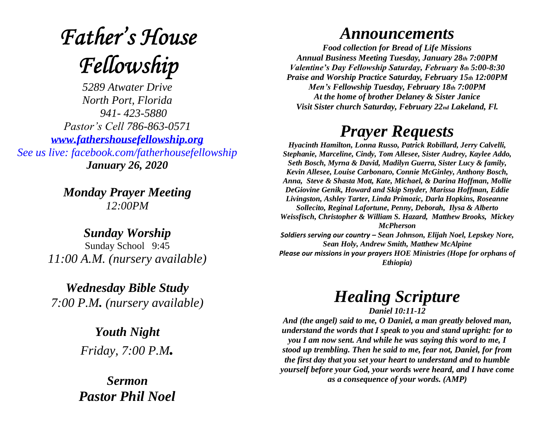# **Father's House** Fellowship

*5289 Atwater Drive North Port, Florida 941- 423-5880 Pastor's Cell 786-863-0571 [www.fathershousefellowship.org](http://www.fathershousefellowship.org/) See us live: facebook.com/fatherhousefellowship January 26, 2020*

> *Monday Prayer Meeting 12:00PM*

*Sunday Worship* Sunday School 9:45 *11:00 A.M. (nursery available)*

*Wednesday Bible Study 7:00 P.M. (nursery available)*

> *Youth Night Friday, 7:00 P.M.*

*Sermon Pastor Phil Noel*

#### *Announcements*

*Food collection for Bread of Life Missions Annual Business Meeting Tuesday, January 28th 7:00PM Valentine's Day Fellowship Saturday, February 8th 5:00-8:30 Praise and Worship Practice Saturday, February 15th 12:00PM Men's Fellowship Tuesday, February 18th 7:00PM At the home of brother Delaney & Sister Janice Visit Sister church Saturday, February 22nd Lakeland, Fl.*

### *Prayer Requests*

*Hyacinth Hamilton, Lonna Russo, Patrick Robillard, Jerry Calvelli, Stephanie, Marceline, Cindy, Tom Allesee, Sister Audrey, Kaylee Addo, Seth Bosch, Myrna & David, Madilyn Guerra, Sister Lucy & family, Kevin Allesee, Louise Carbonaro, Connie McGinley, Anthony Bosch, Anna, Steve & Shasta Mott, Kate, Michael, & Darina Hoffman, Mollie DeGiovine Genik, Howard and Skip Snyder, Marissa Hoffman, Eddie Livingston, Ashley Tarter, Linda Primozic, Darla Hopkins, Roseanne Sollecito, Reginal Lafortune, Penny, Deborah, Ilysa & Alberto Weissfisch, Christopher & William S. Hazard, Matthew Brooks, Mickey McPherson Soldiers serving our country – Sean Johnson, Elijah Noel, Lepskey Nore, Sean Holy, Andrew Smith, Matthew McAlpine Please our missions in your prayers HOE Ministries (Hope for orphans of* 

*Ethiopia)*

## *Healing Scripture*

*Daniel 10:11-12*

*And (the angel) said to me, O Daniel, a man greatly beloved man, understand the words that I speak to you and stand upright: for to you I am now sent. And while he was saying this word to me, I stood up trembling. Then he said to me, fear not, Daniel, for from the first day that you set your heart to understand and to humble yourself before your God, your words were heard, and I have come as a consequence of your words. (AMP)*